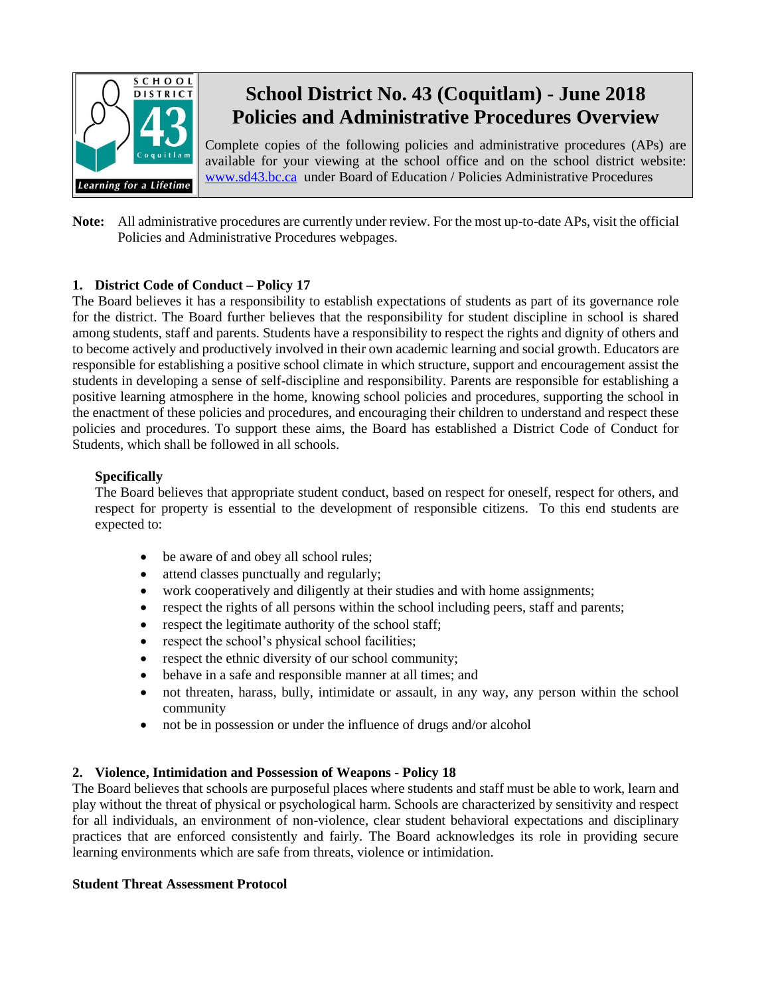

# **School District No. 43 (Coquitlam) - June 2018 Policies and Administrative Procedures Overview**

Complete copies of the following policies and administrative procedures (APs) are available for your viewing at the school office and on the school district website: [www.sd43.bc.ca](http://www.sd43.bc.ca/) under Board of Education / Policies Administrative Procedures

# **Note:** All administrative procedures are currently under review. For the most up-to-date APs, visit the official Policies and Administrative Procedures webpages.

# **1. District Code of Conduct – Policy 17**

The Board believes it has a responsibility to establish expectations of students as part of its governance role for the district. The Board further believes that the responsibility for student discipline in school is shared among students, staff and parents. Students have a responsibility to respect the rights and dignity of others and to become actively and productively involved in their own academic learning and social growth. Educators are responsible for establishing a positive school climate in which structure, support and encouragement assist the students in developing a sense of self-discipline and responsibility. Parents are responsible for establishing a positive learning atmosphere in the home, knowing school policies and procedures, supporting the school in the enactment of these policies and procedures, and encouraging their children to understand and respect these policies and procedures. To support these aims, the Board has established a District Code of Conduct for Students, which shall be followed in all schools.

#### **Specifically**

The Board believes that appropriate student conduct, based on respect for oneself, respect for others, and respect for property is essential to the development of responsible citizens. To this end students are expected to:

- be aware of and obey all school rules;
- attend classes punctually and regularly;
- work cooperatively and diligently at their studies and with home assignments;
- respect the rights of all persons within the school including peers, staff and parents;
- respect the legitimate authority of the school staff;
- respect the school's physical school facilities;
- respect the ethnic diversity of our school community;
- behave in a safe and responsible manner at all times; and
- not threaten, harass, bully, intimidate or assault, in any way, any person within the school community
- not be in possession or under the influence of drugs and/or alcohol

#### **2. Violence, Intimidation and Possession of Weapons - Policy 18**

The Board believes that schools are purposeful places where students and staff must be able to work, learn and play without the threat of physical or psychological harm. Schools are characterized by sensitivity and respect for all individuals, an environment of non-violence, clear student behavioral expectations and disciplinary practices that are enforced consistently and fairly. The Board acknowledges its role in providing secure learning environments which are safe from threats, violence or intimidation.

#### **Student Threat Assessment Protocol**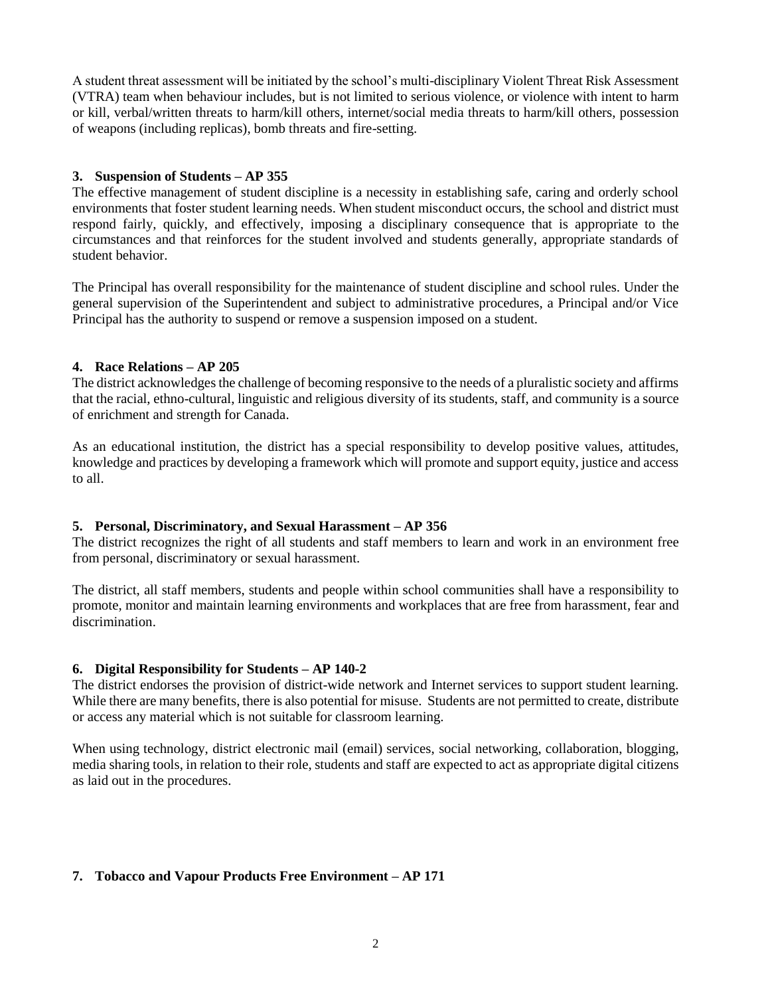A student threat assessment will be initiated by the school's multi-disciplinary Violent Threat Risk Assessment (VTRA) team when behaviour includes, but is not limited to serious violence, or violence with intent to harm or kill, verbal/written threats to harm/kill others, internet/social media threats to harm/kill others, possession of weapons (including replicas), bomb threats and fire-setting.

#### **3. Suspension of Students – AP 355**

The effective management of student discipline is a necessity in establishing safe, caring and orderly school environments that foster student learning needs. When student misconduct occurs, the school and district must respond fairly, quickly, and effectively, imposing a disciplinary consequence that is appropriate to the circumstances and that reinforces for the student involved and students generally, appropriate standards of student behavior.

The Principal has overall responsibility for the maintenance of student discipline and school rules. Under the general supervision of the Superintendent and subject to administrative procedures, a Principal and/or Vice Principal has the authority to suspend or remove a suspension imposed on a student.

#### **4. Race Relations – AP 205**

The district acknowledges the challenge of becoming responsive to the needs of a pluralistic society and affirms that the racial, ethno-cultural, linguistic and religious diversity of its students, staff, and community is a source of enrichment and strength for Canada.

As an educational institution, the district has a special responsibility to develop positive values, attitudes, knowledge and practices by developing a framework which will promote and support equity, justice and access to all.

# **5. Personal, Discriminatory, and Sexual Harassment – AP 356**

The district recognizes the right of all students and staff members to learn and work in an environment free from personal, discriminatory or sexual harassment.

The district, all staff members, students and people within school communities shall have a responsibility to promote, monitor and maintain learning environments and workplaces that are free from harassment, fear and discrimination.

#### **6. Digital Responsibility for Students – AP 140-2**

The district endorses the provision of district-wide network and Internet services to support student learning. While there are many benefits, there is also potential for misuse. Students are not permitted to create, distribute or access any material which is not suitable for classroom learning.

When using technology, district electronic mail (email) services, social networking, collaboration, blogging, media sharing tools, in relation to their role, students and staff are expected to act as appropriate digital citizens as laid out in the procedures.

# **7. Tobacco and Vapour Products Free Environment – AP 171**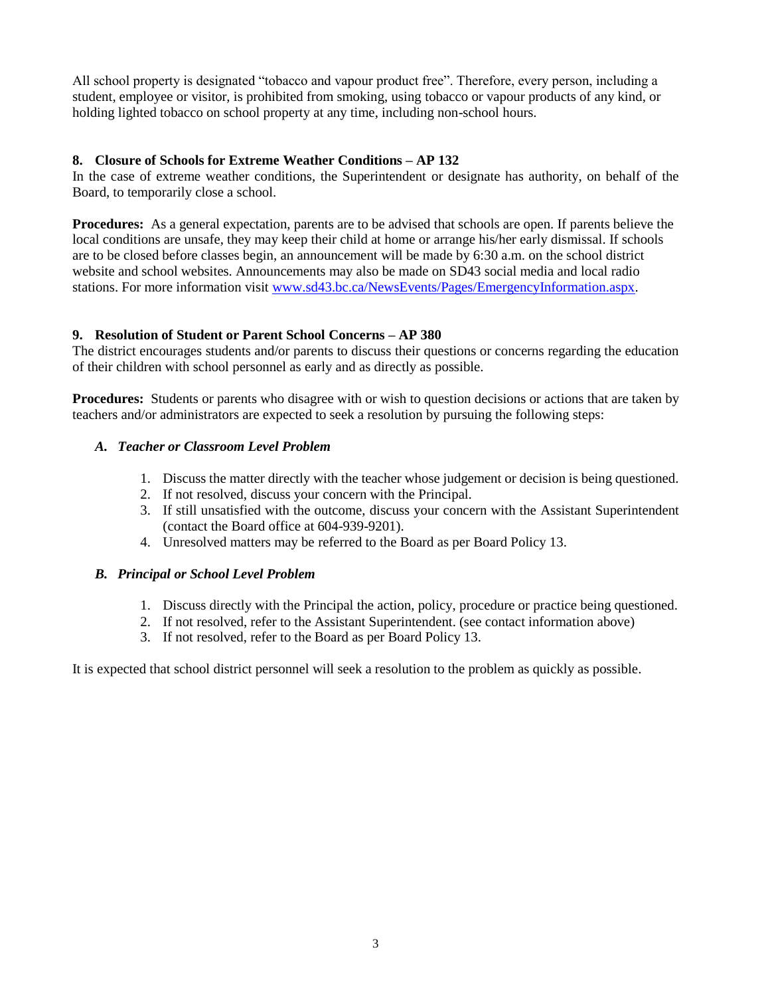All school property is designated "tobacco and vapour product free". Therefore, every person, including a student, employee or visitor, is prohibited from smoking, using tobacco or vapour products of any kind, or holding lighted tobacco on school property at any time, including non-school hours.

#### **8. Closure of Schools for Extreme Weather Conditions – AP 132**

In the case of extreme weather conditions, the Superintendent or designate has authority, on behalf of the Board, to temporarily close a school.

**Procedures:** As a general expectation, parents are to be advised that schools are open. If parents believe the local conditions are unsafe, they may keep their child at home or arrange his/her early dismissal. If schools are to be closed before classes begin, an announcement will be made by 6:30 a.m. on the school district website and school websites. Announcements may also be made on SD43 social media and local radio stations. For more information visit [www.sd43.bc.ca/NewsEvents/Pages/EmergencyInformation.aspx.](http://www.sd43.bc.ca/NewsEvents/Pages/EmergencyInformation.aspx)

#### **9. Resolution of Student or Parent School Concerns – AP 380**

The district encourages students and/or parents to discuss their questions or concerns regarding the education of their children with school personnel as early and as directly as possible.

**Procedures:** Students or parents who disagree with or wish to question decisions or actions that are taken by teachers and/or administrators are expected to seek a resolution by pursuing the following steps:

# *A. Teacher or Classroom Level Problem*

- 1. Discuss the matter directly with the teacher whose judgement or decision is being questioned.
- 2. If not resolved, discuss your concern with the Principal.
- 3. If still unsatisfied with the outcome, discuss your concern with the Assistant Superintendent (contact the Board office at 604-939-9201).
- 4. Unresolved matters may be referred to the Board as per Board Policy 13.

# *B. Principal or School Level Problem*

- 1. Discuss directly with the Principal the action, policy, procedure or practice being questioned.
- 2. If not resolved, refer to the Assistant Superintendent. (see contact information above)
- 3. If not resolved, refer to the Board as per Board Policy 13.

It is expected that school district personnel will seek a resolution to the problem as quickly as possible.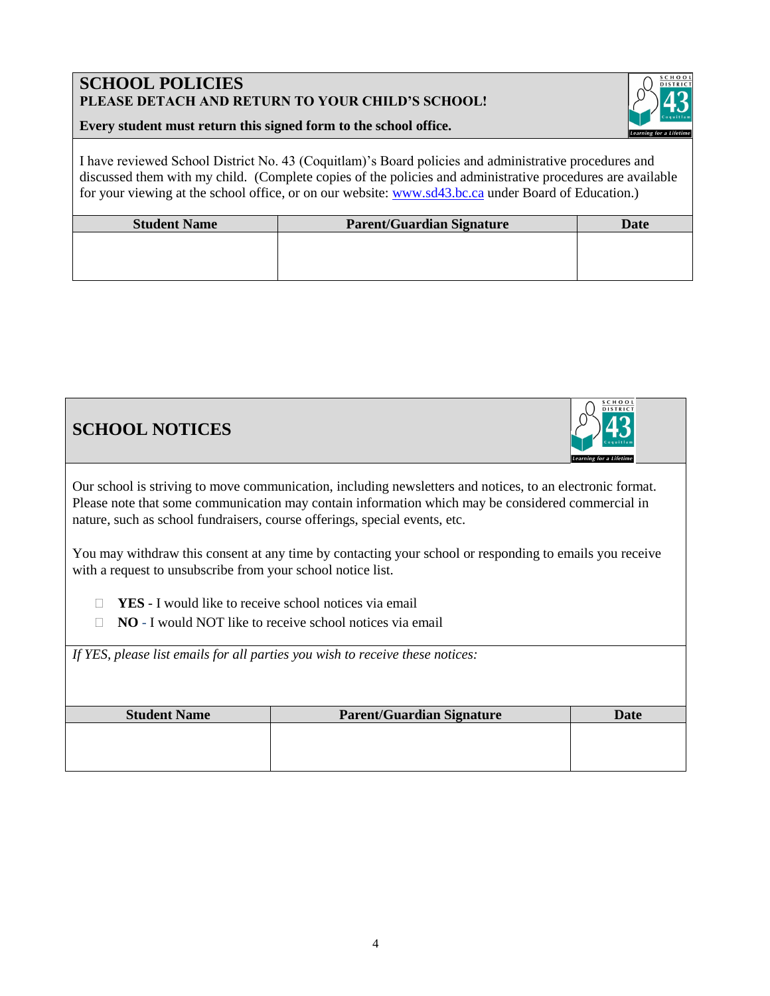# **SCHOOL POLICIES PLEASE DETACH AND RETURN TO YOUR CHILD'S SCHOOL!**



#### **Every student must return this signed form to the school office.**

I have reviewed School District No. 43 (Coquitlam)'s Board policies and administrative procedures and discussed them with my child. (Complete copies of the policies and administrative procedures are available for your viewing at the school office, or on our website: [www.sd43.bc.ca](http://www.sd43.bc.ca/) under Board of Education.)

| <b>Student Name</b> | <b>Parent/Guardian Signature</b> | Date |
|---------------------|----------------------------------|------|
|                     |                                  |      |
|                     |                                  |      |
|                     |                                  |      |

**SCHOOL NOTICES**



Our school is striving to move communication, including newsletters and notices, to an electronic format. Please note that some communication may contain information which may be considered commercial in nature, such as school fundraisers, course offerings, special events, etc.

You may withdraw this consent at any time by contacting your school or responding to emails you receive with a request to unsubscribe from your school notice list.

**YES** - I would like to receive school notices via email

□ **NO** - I would NOT like to receive school notices via email

*If YES, please list emails for all parties you wish to receive these notices:*

| <b>Student Name</b> | Parent/Guardian Signature | <b>Date</b> |
|---------------------|---------------------------|-------------|
|                     |                           |             |
|                     |                           |             |
|                     |                           |             |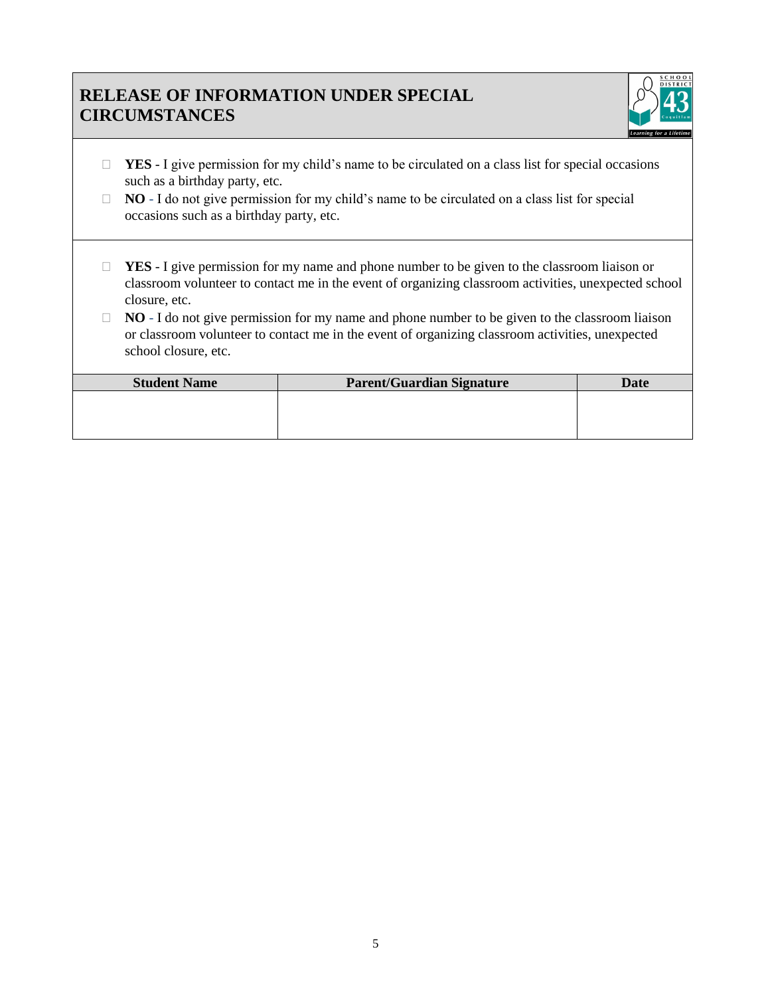# **RELEASE OF INFORMATION UNDER SPECIAL CIRCUMSTANCES**



- □ **YES** I give permission for my child's name to be circulated on a class list for special occasions such as a birthday party, etc.
- □ **NO** I do not give permission for my child's name to be circulated on a class list for special occasions such as a birthday party, etc.
- □ **YES** I give permission for my name and phone number to be given to the classroom liaison or classroom volunteer to contact me in the event of organizing classroom activities, unexpected school closure, etc.
- □ **NO** I do not give permission for my name and phone number to be given to the classroom liaison or classroom volunteer to contact me in the event of organizing classroom activities, unexpected school closure, etc.

| <b>Student Name</b> | Parent/Guardian Signature | Date |
|---------------------|---------------------------|------|
|                     |                           |      |
|                     |                           |      |
|                     |                           |      |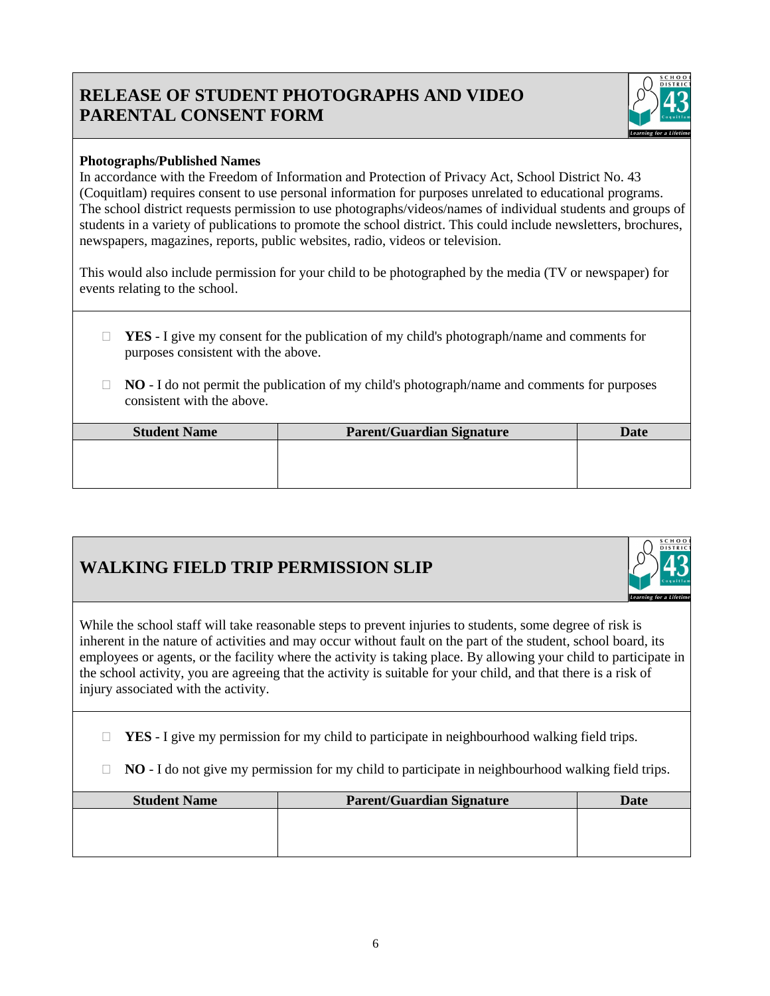# **RELEASE OF STUDENT PHOTOGRAPHS AND VIDEO PARENTAL CONSENT FORM**



# **Photographs/Published Names**

In accordance with the Freedom of Information and Protection of Privacy Act, School District No. 43 (Coquitlam) requires consent to use personal information for purposes unrelated to educational programs. The school district requests permission to use photographs/videos/names of individual students and groups of students in a variety of publications to promote the school district. This could include newsletters, brochures, newspapers, magazines, reports, public websites, radio, videos or television.

This would also include permission for your child to be photographed by the media (TV or newspaper) for events relating to the school.

- **YES** I give my consent for the publication of my child's photograph/name and comments for purposes consistent with the above.
- □ **NO** I do not permit the publication of my child's photograph/name and comments for purposes consistent with the above.

| <b>Student Name</b> | <b>Parent/Guardian Signature</b> | Date |
|---------------------|----------------------------------|------|
|                     |                                  |      |
|                     |                                  |      |
|                     |                                  |      |

# **WALKING FIELD TRIP PERMISSION SLIP**



While the school staff will take reasonable steps to prevent injuries to students, some degree of risk is inherent in the nature of activities and may occur without fault on the part of the student, school board, its employees or agents, or the facility where the activity is taking place. By allowing your child to participate in the school activity, you are agreeing that the activity is suitable for your child, and that there is a risk of injury associated with the activity.

 $\Box$  **YES** - I give my permission for my child to participate in neighbourhood walking field trips.

 $\Box$  **NO** - I do not give my permission for my child to participate in neighbourhood walking field trips.

| <b>Student Name</b> | <b>Parent/Guardian Signature</b> | Date |
|---------------------|----------------------------------|------|
|                     |                                  |      |
|                     |                                  |      |
|                     |                                  |      |